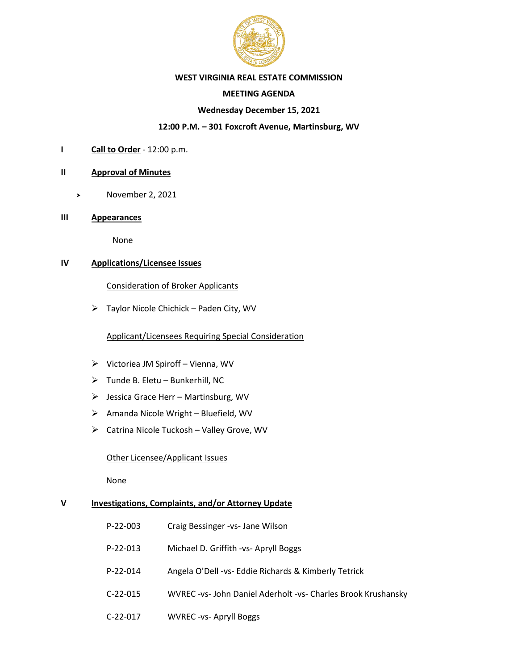

#### **WEST VIRGINIA REAL ESTATE COMMISSION**

# **MEETING AGENDA**

## **Wednesday December 15, 2021**

# **12:00 P.M. – 301 Foxcroft Avenue, Martinsburg, WV**

**I Call to Order** - 12:00 p.m.

## **II Approval of Minutes**

- November 2, 2021
- **III Appearances**

None

# **IV Applications/Licensee Issues**

## Consideration of Broker Applicants

➢ Taylor Nicole Chichick – Paden City, WV

# Applicant/Licensees Requiring Special Consideration

- ➢ Victoriea JM Spiroff Vienna, WV
- $\triangleright$  Tunde B. Eletu Bunkerhill, NC
- ➢ Jessica Grace Herr Martinsburg, WV
- ➢ Amanda Nicole Wright Bluefield, WV
- ➢ Catrina Nicole Tuckosh Valley Grove, WV

#### Other Licensee/Applicant Issues

None

# **V Investigations, Complaints, and/or Attorney Update**

| $P-22-003$ | Craig Bessinger - vs - Jane Wilson                           |
|------------|--------------------------------------------------------------|
| $P-22-013$ | Michael D. Griffith -vs- Apryll Boggs                        |
| $P-22-014$ | Angela O'Dell -vs- Eddie Richards & Kimberly Tetrick         |
| $C-22-015$ | WVREC-vs- John Daniel Aderholt -vs- Charles Brook Krushansky |
| $C-22-017$ | <b>WVREC-vs-Apryll Boggs</b>                                 |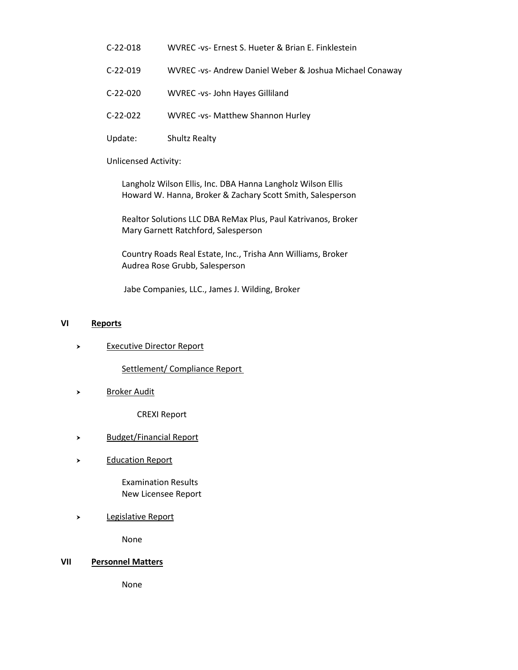- C-22-018 WVREC -vs- Ernest S. Hueter & Brian E. Finklestein
- C-22-019 WVREC -vs- Andrew Daniel Weber & Joshua Michael Conaway
- C-22-020 WVREC -vs- John Hayes Gilliland
- C-22-022 WVREC -vs- Matthew Shannon Hurley
- Update: Shultz Realty

Unlicensed Activity:

Langholz Wilson Ellis, Inc. DBA Hanna Langholz Wilson Ellis Howard W. Hanna, Broker & Zachary Scott Smith, Salesperson

Realtor Solutions LLC DBA ReMax Plus, Paul Katrivanos, Broker Mary Garnett Ratchford, Salesperson

Country Roads Real Estate, Inc., Trisha Ann Williams, Broker Audrea Rose Grubb, Salesperson

Jabe Companies, LLC., James J. Wilding, Broker

# **VI Reports**

Executive Director Report

Settlement/ Compliance Report

> Broker Audit

CREXI Report

- > Budget/Financial Report
- > Education Report

Examination Results New Licensee Report

> Legislative Report

None

#### **VII Personnel Matters**

None